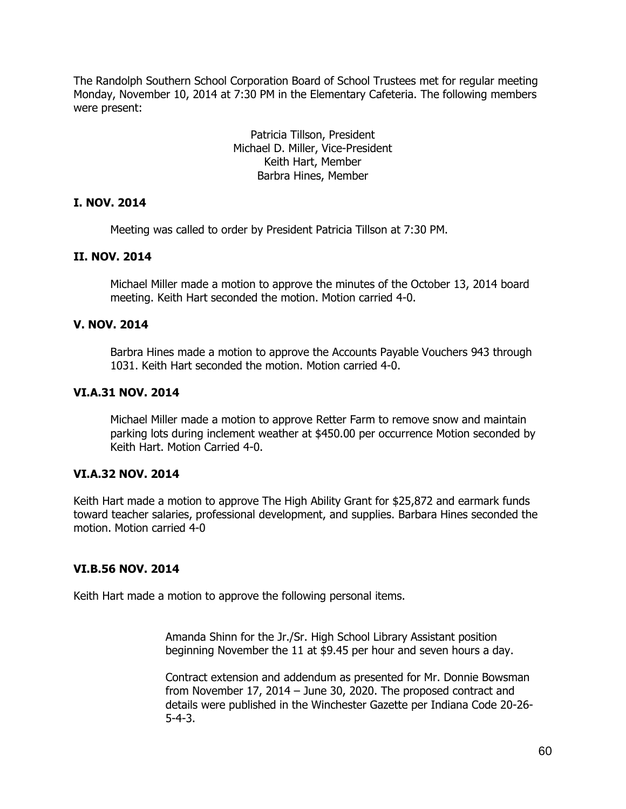The Randolph Southern School Corporation Board of School Trustees met for regular meeting Monday, November 10, 2014 at 7:30 PM in the Elementary Cafeteria. The following members were present:

> Patricia Tillson, President Michael D. Miller, Vice-President Keith Hart, Member Barbra Hines, Member

### **I. NOV. 2014**

Meeting was called to order by President Patricia Tillson at 7:30 PM.

### **II. NOV. 2014**

Michael Miller made a motion to approve the minutes of the October 13, 2014 board meeting. Keith Hart seconded the motion. Motion carried 4-0.

# **V. NOV. 2014**

Barbra Hines made a motion to approve the Accounts Payable Vouchers 943 through 1031. Keith Hart seconded the motion. Motion carried 4-0.

# **VI.A.31 NOV. 2014**

Michael Miller made a motion to approve Retter Farm to remove snow and maintain parking lots during inclement weather at \$450.00 per occurrence Motion seconded by Keith Hart. Motion Carried 4-0.

### **VI.A.32 NOV. 2014**

Keith Hart made a motion to approve The High Ability Grant for \$25,872 and earmark funds toward teacher salaries, professional development, and supplies. Barbara Hines seconded the motion. Motion carried 4-0

### **VI.B.56 NOV. 2014**

Keith Hart made a motion to approve the following personal items.

Amanda Shinn for the Jr./Sr. High School Library Assistant position beginning November the 11 at \$9.45 per hour and seven hours a day.

Contract extension and addendum as presented for Mr. Donnie Bowsman from November 17, 2014 – June 30, 2020. The proposed contract and details were published in the Winchester Gazette per Indiana Code 20-26- 5-4-3.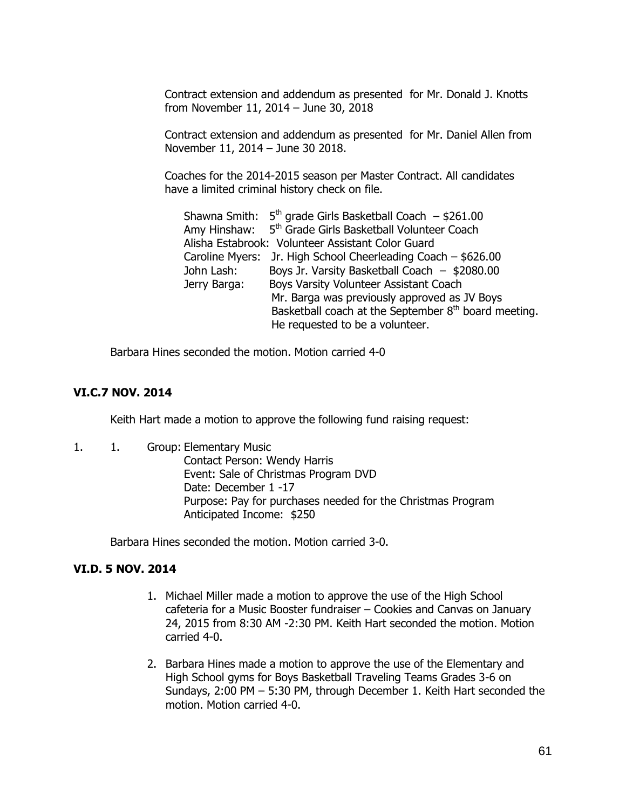Contract extension and addendum as presented for Mr. Donald J. Knotts from November 11, 2014 – June 30, 2018

Contract extension and addendum as presented for Mr. Daniel Allen from November 11, 2014 – June 30 2018.

Coaches for the 2014-2015 season per Master Contract. All candidates have a limited criminal history check on file.

|              | Shawna Smith: $5th$ grade Girls Basketball Coach $-$ \$261.00       |
|--------------|---------------------------------------------------------------------|
|              | Amy Hinshaw: 5 <sup>th</sup> Grade Girls Basketball Volunteer Coach |
|              | Alisha Estabrook: Volunteer Assistant Color Guard                   |
|              | Caroline Myers: Jr. High School Cheerleading Coach - \$626.00       |
| John Lash:   | Boys Jr. Varsity Basketball Coach $-$ \$2080.00                     |
| Jerry Barga: | Boys Varsity Volunteer Assistant Coach                              |
|              | Mr. Barga was previously approved as JV Boys                        |
|              | Basketball coach at the September 8 <sup>th</sup> board meeting.    |
|              | He requested to be a volunteer.                                     |

Barbara Hines seconded the motion. Motion carried 4-0

# **VI.C.7 NOV. 2014**

Keith Hart made a motion to approve the following fund raising request:

1. 1. Group: Elementary Music Contact Person: Wendy Harris Event: Sale of Christmas Program DVD Date: December 1 -17 Purpose: Pay for purchases needed for the Christmas Program Anticipated Income: \$250

Barbara Hines seconded the motion. Motion carried 3-0.

### **VI.D. 5 NOV. 2014**

- 1. Michael Miller made a motion to approve the use of the High School cafeteria for a Music Booster fundraiser – Cookies and Canvas on January 24, 2015 from 8:30 AM -2:30 PM. Keith Hart seconded the motion. Motion carried 4-0.
- 2. Barbara Hines made a motion to approve the use of the Elementary and High School gyms for Boys Basketball Traveling Teams Grades 3-6 on Sundays, 2:00 PM – 5:30 PM, through December 1. Keith Hart seconded the motion. Motion carried 4-0.